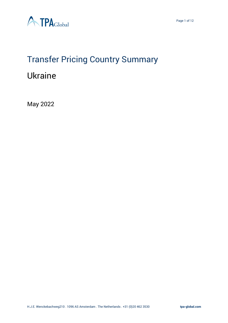

Page 1 of 12



# Transfer Pricing Country Summary

# Ukraine

May 2022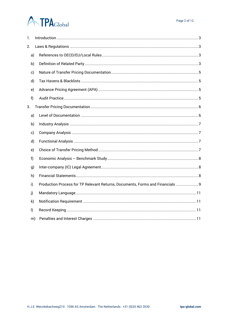# **ATPA**Global

| 1.           |              |                                                                                |
|--------------|--------------|--------------------------------------------------------------------------------|
| 2.           |              |                                                                                |
|              | a)           |                                                                                |
|              | b)           |                                                                                |
|              | c)           |                                                                                |
|              | d)           |                                                                                |
|              | e)           |                                                                                |
| f)           |              |                                                                                |
| 3.           |              |                                                                                |
|              | a)           |                                                                                |
|              | b)           |                                                                                |
|              | c)           |                                                                                |
|              | d)           |                                                                                |
|              | e)           |                                                                                |
| f            |              |                                                                                |
|              | g)           |                                                                                |
|              | h)           |                                                                                |
| i)           |              | Production Process for TP Relevant Returns, Documents, Forms and Financials  9 |
| j)           |              |                                                                                |
|              | $\mathsf{k}$ |                                                                                |
| $\mathsf{I}$ |              |                                                                                |
|              | m)           |                                                                                |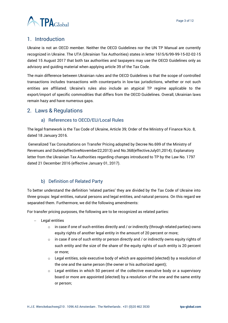

# <span id="page-2-0"></span>1. Introduction

Ukraine is not an OECD member. Neither the OECD Guidelines nor the UN TP Manual are currently recognized in Ukraine. The UTA (Ukrainian Tax Authorities) states in letter 1615/6/99-99-15-02-02-15 dated 15 August 2017 that both tax authorities and taxpayers may use the OECD Guidelines only as advisory and guiding material when applying article 39 of the Tax Code.

The main difference between Ukrainian rules and the OECD Guidelines is that the scope of controlled transactions includes transactions with counterparts in low-tax jurisdictions, whether or not such entities are affiliated. Ukraine's rules also include an atypical TP regime applicable to the export/import of specific commodities that differs from the OECD Guidelines. Overall, Ukrainian laws remain hazy and have numerous gaps.

# <span id="page-2-2"></span><span id="page-2-1"></span>2. Laws & Regulations

#### a) References to OECD/EU/Local Rules

The legal framework is the Tax Code of Ukraine, Article 39; Order of the Ministry of Finance NJo. 8, dated 18 January 2016.

Generalized Tax Consultations on Transfer Pricing adopted by Decree No.699 of the Ministry of Revenues and Duties(effectiveNovember22,2013) and No.368(effectiveJuly01,2014); Explanatory letter from the Ukrainian Tax Authorities regarding changes introduced to TP by the Law No. 1797 dated 21 December 2016 (effective January 01, 2017).

# b) Definition of Related Party

<span id="page-2-3"></span>To better understand the definition 'related parties' they are divided by the Tax Code of Ukraine into three groups: legal entities, natural persons and legal entities, and natural persons. On this regard we separated them. Furthermore, we did the following amendments:

For transfer pricing purposes, the following are to be recognized as related parties:

- − Legal entities
	- $\circ$  in case if one of such entities directly and / or indirectly (through related parties) owns equity rights of another legal entity in the amount of 20 percent or more;
	- $\circ$  in case if one of such entity or person directly and / or indirectly owns equity rights of such entity and the size of the share of the equity rights of such entity is 20 percent or more;
	- $\circ$  Legal entities, sole executive body of which are appointed (elected) by a resolution of the one and the same person (the owner or his authorized agent);
	- $\circ$  Legal entities in which 50 percent of the collective executive body or a supervisory board or more are appointed (elected) by a resolution of the one and the same entity or person;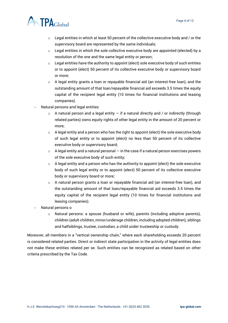

- $\circ$  Legal entities in which at least 50 percent of the collective executive body and / or the supervisory board are represented by the same individuals;
- $\circ$  Legal entities in which the sole collective executive body are appointed (elected) by a resolution of the one and the same legal entity or person;
- $\circ$  Legal entities have the authority to appoint (elect) sole executive body of such entities or to appoint (elect) 50 percent of its collective executive body or supervisory board or more;
- $\circ$  A legal entity grants a loan or repayable financial aid (an interest-free loan), and the outstanding amount of that loan/repayable financial aid exceeds 3.5 times the equity capital of the recipient legal entity (10 times for financial institutions and leasing companies).
- − Natural persons and legal entities
	- $\circ$  A natural person and a legal entity  $-$  if a natural directly and / or indirectly (through related parties) owns equity rights of other legal entity in the amount of 20 percent or more;
	- $\circ$  A legal entity and a person who has the right to appoint (elect) the sole executive body of such legal entity or to appoint (elect) no less than 50 percent of its collective executive body or supervisory board;
	- $\circ$  A legal entity and a natural personal  $-$  in the case if a natural person exercises powers of the sole executive body of such entity;
	- $\circ$  A legal entity and a person who has the authority to appoint (elect) the sole executive body of such legal entity or to appoint (elect) 50 percent of its collective executive body or supervisory board or more;
	- o A natural person grants a loan or repayable financial aid (an interest-free loan), and the outstanding amount of that loan/repayable financial aid exceeds 3.5 times the equity capital of the recipient legal entity (10 times for financial institutions and leasing companies).
- − Natural persons o
	- $\circ$  Natural persons: a spouse (husband or wife), parents (including adoptive parents), children (adult children, minor/underage children, including adopted children), siblings and halfsiblings, trustee, custodian, a child under trusteeship or custody.

Moreover, all members in a "vertical ownership chain," where each shareholding exceeds 20 percent is considered related parties. Direct or indirect state participation in the activity of legal entities does not make these entities related per se. Such entities can be recognized as related based on other criteria prescribed by the Tax Code.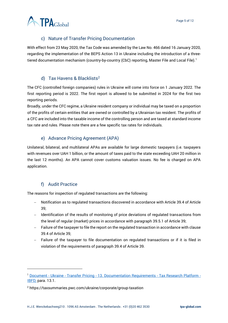

# c) Nature of Transfer Pricing Documentation

<span id="page-4-0"></span>With effect from 23 May 2020, the Tax Code was amended by the Law No. 466 dated 16 January 2020, regarding the implementation of the BEPS Action 13 in Ukraine including the introduction of a threetiered documentation mechanism (country-by-country (CbC) reporting, Master File and Local File).<sup>1</sup>

#### d) Tax Havens & Blacklists<sup>2</sup>

<span id="page-4-1"></span>The CFC (controlled foreign companies) rules in Ukraine will come into force on 1 January 2022. The first reporting period is 2022. The first report is allowed to be submitted in 2024 for the first two reporting periods.

Broadly, under the CFC regime, a Ukraine resident company or individual may be taxed on a proportion of the profits of certain entities that are owned or controlled by a Ukrainian tax resident. The profits of a CFC are included into the taxable income of the controlling person and are taxed at standard income tax rate and rules. Please note there are a few specific tax rates for individuals.

# e) Advance Pricing Agreement (APA)

<span id="page-4-2"></span>Unilateral, bilateral, and multilateral APAs are available for large domestic taxpayers (i.e. taxpayers with revenues over UAH 1 billion, or the amount of taxes paid to the state exceeding UAH 20 million in the last 12 months). An APA cannot cover customs valuation issues. No fee is charged on APA application.

#### f) Audit Practice

<span id="page-4-3"></span>The reasons for inspection of regulated transactions are the following:

- − Notification as to regulated transactions discovered in accordance with Article 39.4 of Article 39;
- − Identification of the results of monitoring of price deviations of regulated transactions from the level of regular (market) prices in accordance with paragraph 39.5.1 of Article 39;
- − Failure of the taxpayer to file the report on the regulated transaction in accordance with clause 39.4 of Article 39;
- − Failure of the taxpayer to file documentation on regulated transactions or if it is filed in violation of the requirements of paragraph 39.4 of Article 39.

<sup>&</sup>lt;sup>1</sup> Document - Ukraine - Transfer Pricing - [13. Documentation Requirements -](https://research.ibfd.org/#/doc?url=/linkresolver/static/tp_ua_s_13.&refresh=1639747149690%23tp_ua_s_13.) Tax Research Platform -[IBFD,](https://research.ibfd.org/#/doc?url=/linkresolver/static/tp_ua_s_13.&refresh=1639747149690%23tp_ua_s_13.) para. 13.1.

<sup>2</sup> https://taxsummaries.pwc.com/ukraine/corporate/group-taxation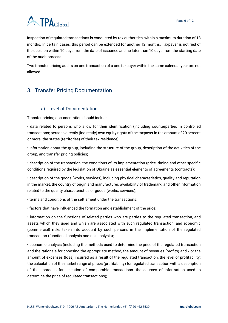

Inspection of regulated transactions is conducted by tax authorities, within a maximum duration of 18 months. In certain cases, this period can be extended for another 12 months. Taxpayer is notified of the decision within 10 days from the date of issuance and no later than 10 days from the starting date of the audit process.

Two transfer pricing audits on one transaction of a one taxpayer within the same calendar year are not allowed.

# <span id="page-5-0"></span>3. Transfer Pricing Documentation

# a) Level of Documentation

<span id="page-5-1"></span>Transfer pricing documentation should include:

• data related to persons who allow for their identification (including counterparties in controlled transactions; persons directly (indirectly) own equity rights of the taxpayer in the amount of 20 percent or more; the states (territories) of their tax residence);

• information about the group, including the structure of the group, description of the activities of the group, and transfer pricing policies;

• description of the transaction, the conditions of its implementation (price, timing and other specific conditions required by the legislation of Ukraine as essential elements of agreements (contracts);

• description of the goods (works, services), including physical characteristics, quality and reputation in the market, the country of origin and manufacturer, availability of trademark, and other information related to the quality characteristics of goods (works, services);

• terms and conditions of the settlement under the transactions;

• factors that have influenced the formation and establishment of the price;

• information on the functions of related parties who are parties to the regulated transaction, and assets which they used and whish are associated with such regulated transaction, and economic (commercial) risks taken into account by such persons in the implementation of the regulated transaction (functional analysis and risk analysis);

• economic analysis (including the methods used to determine the price of the regulated transaction and the rationale for choosing the appropriate method, the amount of revenues (profits) and / or the amount of expenses (loss) incurred as a result of the regulated transaction, the level of profitability; the calculation of the market range of prices (profitability) for regulated transaction with a description of the approach for selection of comparable transactions, the sources of information used to determine the price of regulated transactions);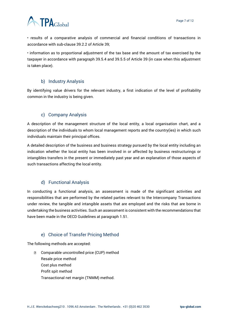

• results of a comparative analysis of commercial and financial conditions of transactions in accordance with sub-clause 39.2.2 of Article 39;

• information as to proportional adjustment of the tax base and the amount of tax exercised by the taxpayer in accordance with paragraph 39.5.4 and 39.5.5 of Article 39 (in case when this adjustment is taken place).

#### b) Industry Analysis

<span id="page-6-0"></span>By identifying value drivers for the relevant industry, a first indication of the level of profitability common in the industry is being given.

#### c) Company Analysis

<span id="page-6-1"></span>A description of the management structure of the local entity, a local organisation chart, and a description of the individuals to whom local management reports and the country(ies) in which such individuals maintain their principal offices.

A detailed description of the business and business strategy pursued by the local entity including an indication whether the local entity has been involved in or affected by business restructurings or intangibles transfers in the present or immediately past year and an explanation of those aspects of such transactions affecting the local entity.

#### d) Functional Analysis

<span id="page-6-2"></span>In conducting a functional analysis, an assessment is made of the significant activities and responsibilities that are performed by the related parties relevant to the Intercompany Transactions under review, the tangible and intangible assets that are employed and the risks that are borne in undertaking the business activities. Such an assessment is consistent with the recommendations that have been made in the OECD Guidelines at paragraph 1.51.

#### e) Choice of Transfer Pricing Method

<span id="page-6-3"></span>The following methods are accepted:

**D** Comparable uncontrolled price (CUP) method Resale price method Cost plus method Profit spit method Transactional net margin (TNMM) method.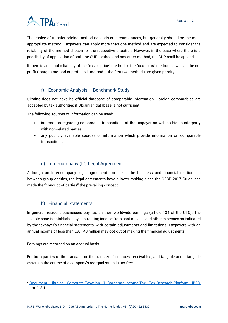

The choice of transfer pricing method depends on circumstances, but generally should be the most appropriate method. Taxpayers can apply more than one method and are expected to consider the reliability of the method chosen for the respective situation. However, in the case where there is a possibility of application of both the CUP method and any other method, the CUP shall be applied.

If there is an equal reliability of the "resale price" method or the "cost plus" method as well as the net profit (margin) method or profit split method – the first two methods are given priority.

#### f) Economic Analysis – Benchmark Study

<span id="page-7-0"></span>Ukraine does not have its official database of comparable information. Foreign comparables are accepted by tax authorities if Ukrainian database is not sufficient.

The following sources of information can be used:

- information regarding comparable transactions of the taxpayer as well as his counterparty with non-related parties;
- any publicly available sources of information which provide information on comparable transactions

#### g) Inter-company (IC) Legal Agreement

<span id="page-7-1"></span>Although an Inter-company legal agreement formalizes the business and financial relationship between group entities, the legal agreements have a lower ranking since the OECD 2017 Guidelines made the ''conduct of parties'' the prevailing concept.

#### h) Financial Statements

<span id="page-7-2"></span>In general, resident businesses pay tax on their worldwide earnings (article 134 of the UTC). The taxable base is established by subtracting income from cost of sales and other expenses as indicated by the taxpayer's financial statements, with certain adjustments and limitations. Taxpayers with an annual income of less than UAH 40 million may opt out of making the financial adjustments.

Earnings are recorded on an accrual basis.

For both parties of the transaction, the transfer of finances, receivables, and tangible and intangible assets in the course of a company's reorganization is tax-free.<sup>3</sup>

<sup>3</sup> Document - Ukraine - Corporate Taxation - [1. Corporate Income Tax -](https://research.ibfd.org/#/doc?url=/collections/gtha/html/gtha_ua_s_001.html) Tax Research Platform - IBFD, para. 1.3.1.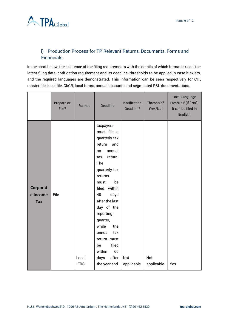

# <span id="page-8-0"></span>i) Production Process for TP Relevant Returns, Documents, Forms and **Financials**

In the chart below, the existence of the filing requirements with the details of which format is used, the latest filing date, notification requirement and its deadline, thresholds to be applied in case it exists, and the required languages are demonstrated. This information can be seen respectively for CIT, master file, local file, CbCR, local forms, annual accounts and segmented P&L documentations.

|                             | Prepare or<br>File? | Format               | <b>Deadline</b>                                                                                                                                                                                                                                                                                                                                         | Notification<br>Deadline* | Threshold*<br>(Yes/No) | Local Language<br>(Yes/No)*(If "No",<br>it can be filed in<br>English) |
|-----------------------------|---------------------|----------------------|---------------------------------------------------------------------------------------------------------------------------------------------------------------------------------------------------------------------------------------------------------------------------------------------------------------------------------------------------------|---------------------------|------------------------|------------------------------------------------------------------------|
| Corporat<br>e Income<br>Tax | File                | Local<br><b>IFRS</b> | taxpayers<br>must file a<br>quarterly tax<br>return<br>and<br>annual<br>an<br>return.<br>tax<br>The<br>quarterly tax<br>returns<br>be<br>must<br>within<br>filed<br>40<br>days<br>after the last<br>day of the<br>reporting<br>quarter,<br>while<br>the<br>annual<br>tax<br>return must<br>filed<br>be<br>within<br>60<br>after<br>days<br>the year end | Not<br>applicable         | Not<br>applicable      | Yes                                                                    |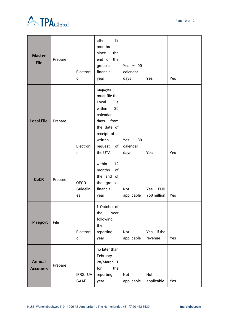

| <b>Master</b><br><b>File</b>     | Prepare | Electroni<br>$\mathbf c$      | after<br>12<br>months<br>the<br>since<br>end of the<br>group's<br>financial<br>year                                                                          | $Yes - 90$<br>calendar<br>days | Yes                        | Yes |
|----------------------------------|---------|-------------------------------|--------------------------------------------------------------------------------------------------------------------------------------------------------------|--------------------------------|----------------------------|-----|
| <b>Local File</b>                | Prepare | Electroni<br>$\mathbf c$      | taxpayer<br>must file the<br>Local<br>File<br>within<br>30<br>calendar<br>days<br>from<br>the date of<br>receipt of a<br>written<br>request<br>of<br>the UTA | Yes $-30$<br>calendar<br>days  | Yes                        | Yes |
| <b>CbCR</b>                      | Prepare | <b>OECD</b><br>Guidelin<br>es | within<br>12<br>months<br>of<br>the end of<br>the group's<br>financial<br>year                                                                               | Not<br>applicable              | $Yes - EUR$<br>750 million | Yes |
| TP report                        | File    | Electroni<br>$\mathbf{C}$     | 1 October of<br>the<br>year<br>following<br>the<br>reporting<br>year                                                                                         | Not<br>applicable              | $Yes - if the$<br>revenue  | Yes |
| <b>Annual</b><br><b>Accounts</b> | Prepare | IFRS, UA<br>GAAP              | no later than<br>February<br>28/March 1<br>for<br>the<br>reporting<br>year                                                                                   | Not<br>applicable              | Not<br>applicable          | Yes |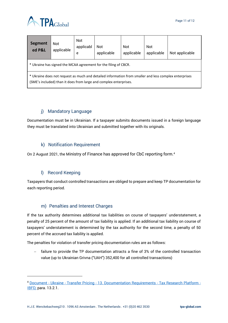

| Segment<br>ed P&L                                                                                                                                                          | Not<br>applicable | Not<br>applicabl<br>e | <b>Not</b><br>applicable | <b>Not</b><br>applicable | <b>Not</b><br>applicable | Not applicable |  |  |
|----------------------------------------------------------------------------------------------------------------------------------------------------------------------------|-------------------|-----------------------|--------------------------|--------------------------|--------------------------|----------------|--|--|
| * Ukraine has signed the MCAA agreement for the filing of CBCR.                                                                                                            |                   |                       |                          |                          |                          |                |  |  |
| * Ukraine does not request as much and detailed information from smaller and less complex enterprises<br>(SME's included) than it does from large and complex enterprises. |                   |                       |                          |                          |                          |                |  |  |

# j) Mandatory Language

<span id="page-10-0"></span>Documentation must be in Ukrainian. If a taxpayer submits documents issued in a foreign language they must be translated into Ukrainian and submitted together with its originals.

#### k) Notification Requirement

<span id="page-10-1"></span>On 2 August 2021, the Ministry of Finance has approved for CbC reporting form.<sup>4</sup>

#### l) Record Keeping

<span id="page-10-2"></span>Taxpayers that conduct controlled transactions are obliged to prepare and keep TP documentation for each reporting period.

#### m) Penalties and Interest Charges

<span id="page-10-3"></span>If the tax authority determines additional tax liabilities on course of taxpayers' understatement, a penalty of 25 percent of the amount of tax liability is applied. If an additional tax liability on course of taxpayers' understatement is determined by the tax authority for the second time, a penalty of 50 percent of the accrued tax liability is applied.

The penalties for violation of transfer pricing documentation rules are as follows:

− failure to provide the TP documentation attracts a fine of 3% of the controlled transaction value (up to Ukrainian Grivna ("UAH") 352,400 for all controlled transactions)

<sup>4</sup> Document - Ukraine - Transfer Pricing - [13. Documentation Requirements -](https://research.ibfd.org/#/doc?url=/linkresolver/static/tp_ua_s_13.&refresh=1639747149690%23tp_ua_s_13.) Tax Research Platform - [IBFD,](https://research.ibfd.org/#/doc?url=/linkresolver/static/tp_ua_s_13.&refresh=1639747149690%23tp_ua_s_13.) para. 13.2.1.